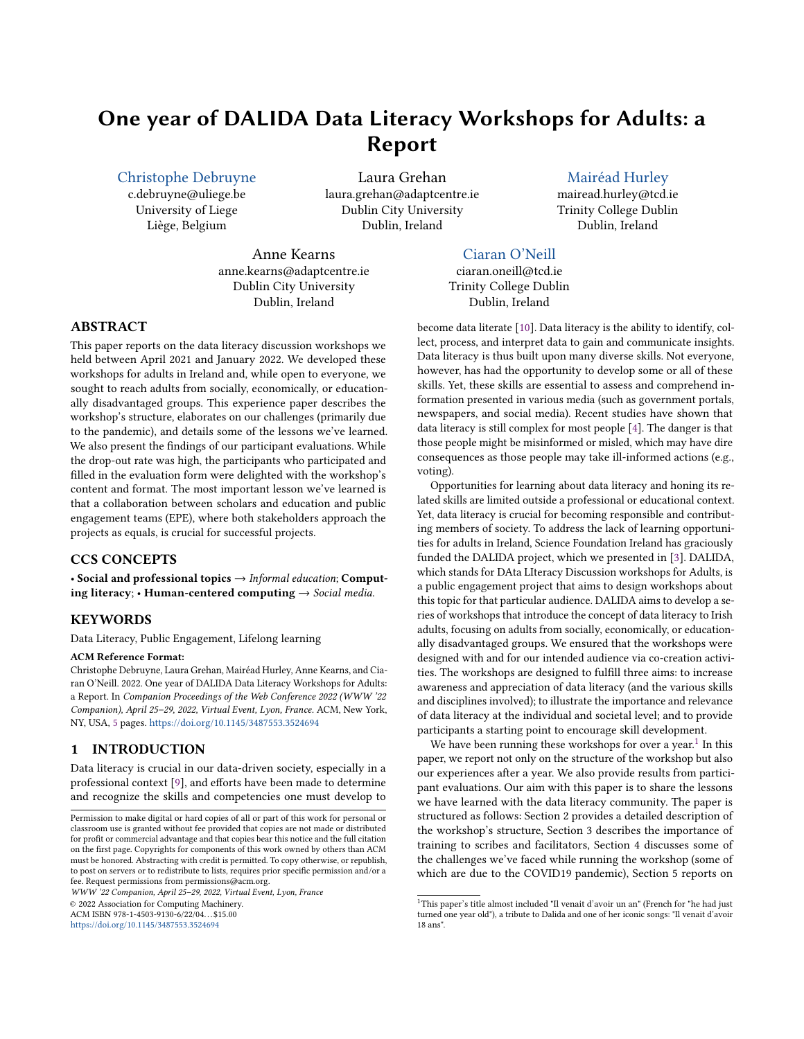# One year of DALIDA Data Literacy Workshops for Adults: a Report

[Christophe Debruyne](https://orcid.org/0000-0003-4734-3847)

c.debruyne@uliege.be University of Liege Liège, Belgium

Laura Grehan laura.grehan@adaptcentre.ie Dublin City University Dublin, Ireland

Anne Kearns anne.kearns@adaptcentre.ie Dublin City University Dublin, Ireland

# Dublin, Ireland

[Mairéad Hurley](https://orcid.org/0000-0002-7875-0798) mairead.hurley@tcd.ie Trinity College Dublin

[Ciaran O'Neill](https://orcid.org/0000-0002-4926-1047) ciaran.oneill@tcd.ie Trinity College Dublin Dublin, Ireland

# ABSTRACT

This paper reports on the data literacy discussion workshops we held between April 2021 and January 2022. We developed these workshops for adults in Ireland and, while open to everyone, we sought to reach adults from socially, economically, or educationally disadvantaged groups. This experience paper describes the workshop's structure, elaborates on our challenges (primarily due to the pandemic), and details some of the lessons we've learned. We also present the findings of our participant evaluations. While the drop-out rate was high, the participants who participated and filled in the evaluation form were delighted with the workshop's content and format. The most important lesson we've learned is that a collaboration between scholars and education and public engagement teams (EPE), where both stakeholders approach the projects as equals, is crucial for successful projects.

# CCS CONCEPTS

• Social and professional topics  $\rightarrow$  Informal education; Computing literacy; • Human-centered computing  $\rightarrow$  Social media.

# **KEYWORDS**

Data Literacy, Public Engagement, Lifelong learning

#### ACM Reference Format:

Christophe Debruyne, Laura Grehan, Mairéad Hurley, Anne Kearns, and Ciaran O'Neill. 2022. One year of DALIDA Data Literacy Workshops for Adults: a Report. In Companion Proceedings of the Web Conference 2022 (WWW '22 Companion), April 25–29, 2022, Virtual Event, Lyon, France. ACM, New York, NY, USA, [5](#page-4-0) pages. <https://doi.org/10.1145/3487553.3524694>

# 1 INTRODUCTION

Data literacy is crucial in our data-driven society, especially in a professional context [\[9\]](#page-4-1), and efforts have been made to determine and recognize the skills and competencies one must develop to

WWW '22 Companion, April 25–29, 2022, Virtual Event, Lyon, France

© 2022 Association for Computing Machinery.

ACM ISBN 978-1-4503-9130-6/22/04. . . \$15.00 <https://doi.org/10.1145/3487553.3524694>

become data literate [\[10\]](#page-4-2). Data literacy is the ability to identify, collect, process, and interpret data to gain and communicate insights. Data literacy is thus built upon many diverse skills. Not everyone, however, has had the opportunity to develop some or all of these skills. Yet, these skills are essential to assess and comprehend information presented in various media (such as government portals, newspapers, and social media). Recent studies have shown that data literacy is still complex for most people [\[4\]](#page-4-3). The danger is that those people might be misinformed or misled, which may have dire consequences as those people may take ill-informed actions (e.g., voting).

Opportunities for learning about data literacy and honing its related skills are limited outside a professional or educational context. Yet, data literacy is crucial for becoming responsible and contributing members of society. To address the lack of learning opportunities for adults in Ireland, Science Foundation Ireland has graciously funded the DALIDA project, which we presented in [\[3\]](#page-4-4). DALIDA, which stands for DAta LIteracy Discussion workshops for Adults, is a public engagement project that aims to design workshops about this topic for that particular audience. DALIDA aims to develop a series of workshops that introduce the concept of data literacy to Irish adults, focusing on adults from socially, economically, or educationally disadvantaged groups. We ensured that the workshops were designed with and for our intended audience via co-creation activities. The workshops are designed to fulfill three aims: to increase awareness and appreciation of data literacy (and the various skills and disciplines involved); to illustrate the importance and relevance of data literacy at the individual and societal level; and to provide participants a starting point to encourage skill development.

We have been running these workshops for over a year.<sup>[1](#page-0-0)</sup> In this paper, we report not only on the structure of the workshop but also our experiences after a year. We also provide results from participant evaluations. Our aim with this paper is to share the lessons we have learned with the data literacy community. The paper is structured as follows: Section 2 provides a detailed description of the workshop's structure, Section 3 describes the importance of training to scribes and facilitators, Section 4 discusses some of the challenges we've faced while running the workshop (some of which are due to the COVID19 pandemic), Section 5 reports on

Permission to make digital or hard copies of all or part of this work for personal or classroom use is granted without fee provided that copies are not made or distributed for profit or commercial advantage and that copies bear this notice and the full citation on the first page. Copyrights for components of this work owned by others than ACM must be honored. Abstracting with credit is permitted. To copy otherwise, or republish, to post on servers or to redistribute to lists, requires prior specific permission and/or a fee. Request permissions from permissions@acm.org.

<span id="page-0-0"></span> $^1\mathrm{This\ paper's\ title}$  almost included "Il venait d'avoir un an" (French for "he had just turned one year old"), a tribute to Dalida and one of her iconic songs: "Il venait d'avoir 18 ans".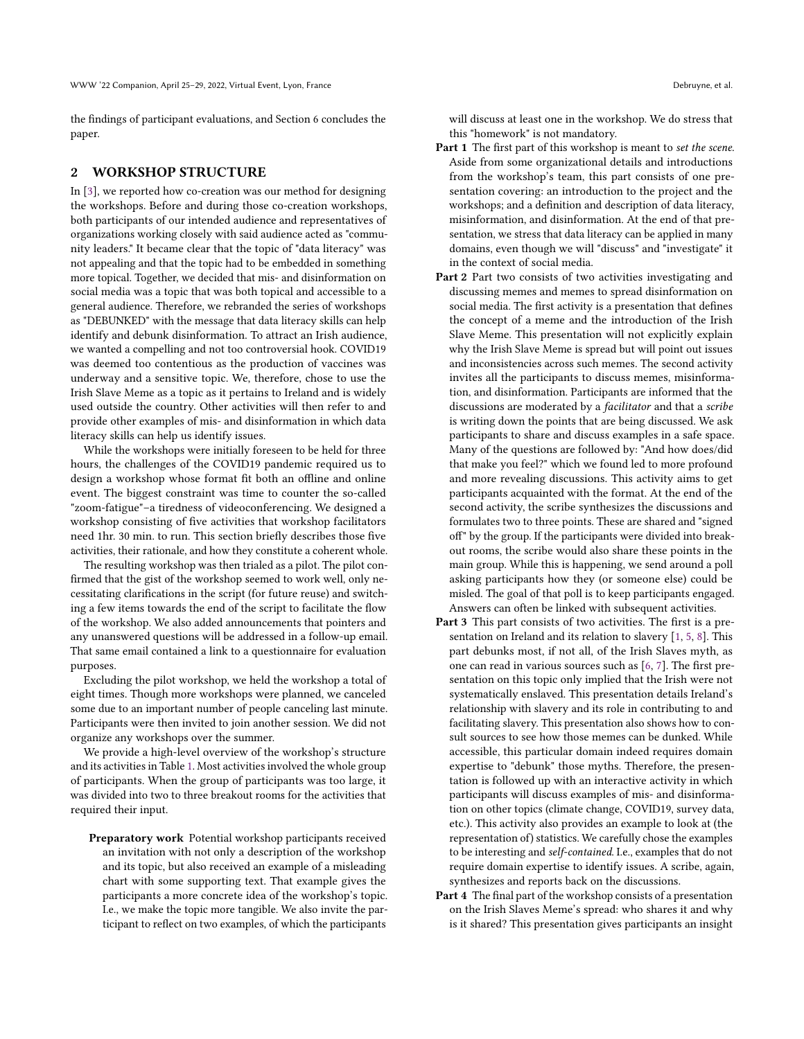the findings of participant evaluations, and Section 6 concludes the paper.

#### 2 WORKSHOP STRUCTURE

In [\[3\]](#page-4-4), we reported how co-creation was our method for designing the workshops. Before and during those co-creation workshops, both participants of our intended audience and representatives of organizations working closely with said audience acted as "community leaders." It became clear that the topic of "data literacy" was not appealing and that the topic had to be embedded in something more topical. Together, we decided that mis- and disinformation on social media was a topic that was both topical and accessible to a general audience. Therefore, we rebranded the series of workshops as "DEBUNKED" with the message that data literacy skills can help identify and debunk disinformation. To attract an Irish audience, we wanted a compelling and not too controversial hook. COVID19 was deemed too contentious as the production of vaccines was underway and a sensitive topic. We, therefore, chose to use the Irish Slave Meme as a topic as it pertains to Ireland and is widely used outside the country. Other activities will then refer to and provide other examples of mis- and disinformation in which data literacy skills can help us identify issues.

While the workshops were initially foreseen to be held for three hours, the challenges of the COVID19 pandemic required us to design a workshop whose format fit both an offline and online event. The biggest constraint was time to counter the so-called "zoom-fatigue"–a tiredness of videoconferencing. We designed a workshop consisting of five activities that workshop facilitators need 1hr. 30 min. to run. This section briefly describes those five activities, their rationale, and how they constitute a coherent whole.

The resulting workshop was then trialed as a pilot. The pilot confirmed that the gist of the workshop seemed to work well, only necessitating clarifications in the script (for future reuse) and switching a few items towards the end of the script to facilitate the flow of the workshop. We also added announcements that pointers and any unanswered questions will be addressed in a follow-up email. That same email contained a link to a questionnaire for evaluation purposes.

Excluding the pilot workshop, we held the workshop a total of eight times. Though more workshops were planned, we canceled some due to an important number of people canceling last minute. Participants were then invited to join another session. We did not organize any workshops over the summer.

We provide a high-level overview of the workshop's structure and its activities in Table [1.](#page-3-0) Most activities involved the whole group of participants. When the group of participants was too large, it was divided into two to three breakout rooms for the activities that required their input.

Preparatory work Potential workshop participants received an invitation with not only a description of the workshop and its topic, but also received an example of a misleading chart with some supporting text. That example gives the participants a more concrete idea of the workshop's topic. I.e., we make the topic more tangible. We also invite the participant to reflect on two examples, of which the participants

will discuss at least one in the workshop. We do stress that this "homework" is not mandatory.

- **Part 1** The first part of this workshop is meant to set the scene. Aside from some organizational details and introductions from the workshop's team, this part consists of one presentation covering: an introduction to the project and the workshops; and a definition and description of data literacy, misinformation, and disinformation. At the end of that presentation, we stress that data literacy can be applied in many domains, even though we will "discuss" and "investigate" it in the context of social media.
- Part 2 Part two consists of two activities investigating and discussing memes and memes to spread disinformation on social media. The first activity is a presentation that defines the concept of a meme and the introduction of the Irish Slave Meme. This presentation will not explicitly explain why the Irish Slave Meme is spread but will point out issues and inconsistencies across such memes. The second activity invites all the participants to discuss memes, misinformation, and disinformation. Participants are informed that the discussions are moderated by a facilitator and that a scribe is writing down the points that are being discussed. We ask participants to share and discuss examples in a safe space. Many of the questions are followed by: "And how does/did that make you feel?" which we found led to more profound and more revealing discussions. This activity aims to get participants acquainted with the format. At the end of the second activity, the scribe synthesizes the discussions and formulates two to three points. These are shared and "signed off" by the group. If the participants were divided into breakout rooms, the scribe would also share these points in the main group. While this is happening, we send around a poll asking participants how they (or someone else) could be misled. The goal of that poll is to keep participants engaged. Answers can often be linked with subsequent activities.
- Part 3 This part consists of two activities. The first is a presentation on Ireland and its relation to slavery [\[1,](#page-4-5) [5,](#page-4-6) [8\]](#page-4-7). This part debunks most, if not all, of the Irish Slaves myth, as one can read in various sources such as [\[6,](#page-4-8) [7\]](#page-4-9). The first presentation on this topic only implied that the Irish were not systematically enslaved. This presentation details Ireland's relationship with slavery and its role in contributing to and facilitating slavery. This presentation also shows how to consult sources to see how those memes can be dunked. While accessible, this particular domain indeed requires domain expertise to "debunk" those myths. Therefore, the presentation is followed up with an interactive activity in which participants will discuss examples of mis- and disinformation on other topics (climate change, COVID19, survey data, etc.). This activity also provides an example to look at (the representation of) statistics. We carefully chose the examples to be interesting and self-contained. I.e., examples that do not require domain expertise to identify issues. A scribe, again, synthesizes and reports back on the discussions.
- Part 4 The final part of the workshop consists of a presentation on the Irish Slaves Meme's spread: who shares it and why is it shared? This presentation gives participants an insight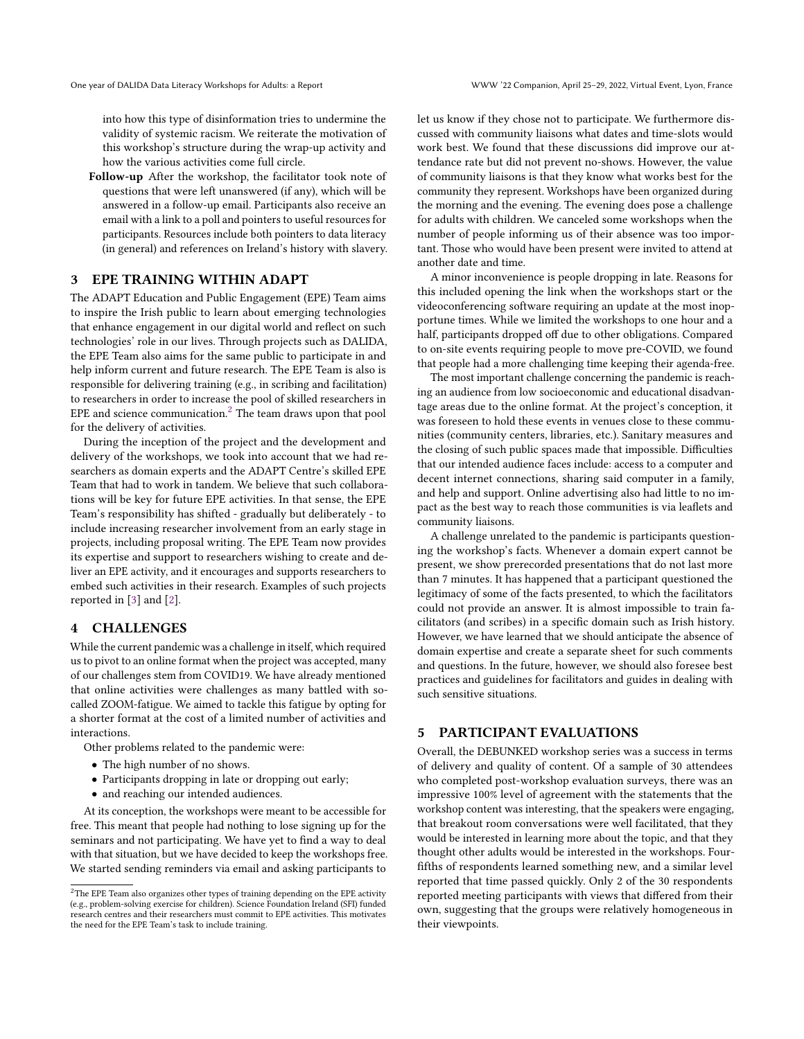into how this type of disinformation tries to undermine the validity of systemic racism. We reiterate the motivation of this workshop's structure during the wrap-up activity and how the various activities come full circle.

Follow-up After the workshop, the facilitator took note of questions that were left unanswered (if any), which will be answered in a follow-up email. Participants also receive an email with a link to a poll and pointers to useful resources for participants. Resources include both pointers to data literacy (in general) and references on Ireland's history with slavery.

### 3 EPE TRAINING WITHIN ADAPT

The ADAPT Education and Public Engagement (EPE) Team aims to inspire the Irish public to learn about emerging technologies that enhance engagement in our digital world and reflect on such technologies' role in our lives. Through projects such as DALIDA, the EPE Team also aims for the same public to participate in and help inform current and future research. The EPE Team is also is responsible for delivering training (e.g., in scribing and facilitation) to researchers in order to increase the pool of skilled researchers in EPE and science communication. $<sup>2</sup>$  $<sup>2</sup>$  $<sup>2</sup>$  The team draws upon that pool</sup> for the delivery of activities.

During the inception of the project and the development and delivery of the workshops, we took into account that we had researchers as domain experts and the ADAPT Centre's skilled EPE Team that had to work in tandem. We believe that such collaborations will be key for future EPE activities. In that sense, the EPE Team's responsibility has shifted - gradually but deliberately - to include increasing researcher involvement from an early stage in projects, including proposal writing. The EPE Team now provides its expertise and support to researchers wishing to create and deliver an EPE activity, and it encourages and supports researchers to embed such activities in their research. Examples of such projects reported in [\[3\]](#page-4-4) and [\[2\]](#page-4-10).

# 4 CHALLENGES

While the current pandemic was a challenge in itself, which required us to pivot to an online format when the project was accepted, many of our challenges stem from COVID19. We have already mentioned that online activities were challenges as many battled with socalled ZOOM-fatigue. We aimed to tackle this fatigue by opting for a shorter format at the cost of a limited number of activities and interactions.

Other problems related to the pandemic were:

- The high number of no shows.
- Participants dropping in late or dropping out early;
- and reaching our intended audiences.

At its conception, the workshops were meant to be accessible for free. This meant that people had nothing to lose signing up for the seminars and not participating. We have yet to find a way to deal with that situation, but we have decided to keep the workshops free. We started sending reminders via email and asking participants to let us know if they chose not to participate. We furthermore discussed with community liaisons what dates and time-slots would work best. We found that these discussions did improve our attendance rate but did not prevent no-shows. However, the value of community liaisons is that they know what works best for the community they represent. Workshops have been organized during the morning and the evening. The evening does pose a challenge for adults with children. We canceled some workshops when the number of people informing us of their absence was too important. Those who would have been present were invited to attend at another date and time.

A minor inconvenience is people dropping in late. Reasons for this included opening the link when the workshops start or the videoconferencing software requiring an update at the most inopportune times. While we limited the workshops to one hour and a half, participants dropped off due to other obligations. Compared to on-site events requiring people to move pre-COVID, we found that people had a more challenging time keeping their agenda-free.

The most important challenge concerning the pandemic is reaching an audience from low socioeconomic and educational disadvantage areas due to the online format. At the project's conception, it was foreseen to hold these events in venues close to these communities (community centers, libraries, etc.). Sanitary measures and the closing of such public spaces made that impossible. Difficulties that our intended audience faces include: access to a computer and decent internet connections, sharing said computer in a family, and help and support. Online advertising also had little to no impact as the best way to reach those communities is via leaflets and community liaisons.

A challenge unrelated to the pandemic is participants questioning the workshop's facts. Whenever a domain expert cannot be present, we show prerecorded presentations that do not last more than 7 minutes. It has happened that a participant questioned the legitimacy of some of the facts presented, to which the facilitators could not provide an answer. It is almost impossible to train facilitators (and scribes) in a specific domain such as Irish history. However, we have learned that we should anticipate the absence of domain expertise and create a separate sheet for such comments and questions. In the future, however, we should also foresee best practices and guidelines for facilitators and guides in dealing with such sensitive situations.

#### 5 PARTICIPANT EVALUATIONS

Overall, the DEBUNKED workshop series was a success in terms of delivery and quality of content. Of a sample of 30 attendees who completed post-workshop evaluation surveys, there was an impressive 100% level of agreement with the statements that the workshop content was interesting, that the speakers were engaging, that breakout room conversations were well facilitated, that they would be interested in learning more about the topic, and that they thought other adults would be interested in the workshops. Fourfifths of respondents learned something new, and a similar level reported that time passed quickly. Only 2 of the 30 respondents reported meeting participants with views that differed from their own, suggesting that the groups were relatively homogeneous in their viewpoints.

<span id="page-2-0"></span><sup>&</sup>lt;sup>2</sup>The EPE Team also organizes other types of training depending on the EPE activity (e.g., problem-solving exercise for children). Science Foundation Ireland (SFI) funded research centres and their researchers must commit to EPE activities. This motivates the need for the EPE Team's task to include training.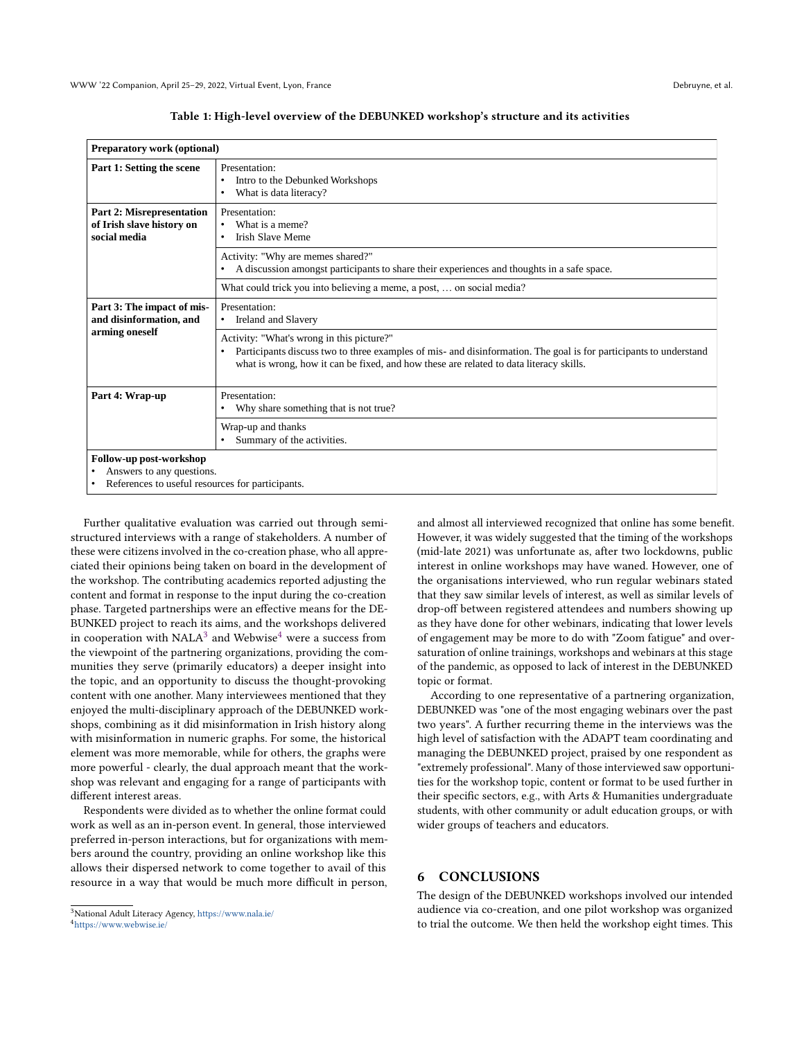<span id="page-3-0"></span>

| Preparatory work (optional)                                                   |                                                                                                                                 |
|-------------------------------------------------------------------------------|---------------------------------------------------------------------------------------------------------------------------------|
| Part 1: Setting the scene                                                     | Presentation:<br>Intro to the Debunked Workshops<br>What is data literacy?                                                      |
| <b>Part 2: Misrepresentation</b><br>of Irish slave history on<br>social media | Presentation:<br>What is a meme?<br>Irish Slave Meme                                                                            |
|                                                                               | Activity: "Why are memes shared?"<br>A discussion amongst participants to share their experiences and thoughts in a safe space. |

what is wrong, how it can be fixed, and how these are related to data literacy skills.

• Participants discuss two to three examples of mis- and disinformation. The goal is for participants to understand

What could trick you into believing a meme, a post, … on social media?

|  |  | Table 1: High-level overview of the DEBUNKED workshop's structure and its activities |  |  |
|--|--|--------------------------------------------------------------------------------------|--|--|
|--|--|--------------------------------------------------------------------------------------|--|--|

**Follow-up post-workshop**

**Part 3: The impact of misand disinformation, and arming oneself** 

**social media** 

• Answers to any questions.

References to useful resources for participants.

Part 4: Wrap-up Presentation:

Presentation:

Ireland and Slavery

Wrap-up and thanks

Summary of the activities.

Activity: "What's wrong in this picture?"

Why share something that is not true?

Further qualitative evaluation was carried out through semistructured interviews with a range of stakeholders. A number of these were citizens involved in the co-creation phase, who all appreciated their opinions being taken on board in the development of the workshop. The contributing academics reported adjusting the content and format in response to the input during the co-creation phase. Targeted partnerships were an effective means for the DE-BUNKED project to reach its aims, and the workshops delivered in cooperation with NALA $^3$  $^3$  and Webwise $^4$  $^4$  were a success from the viewpoint of the partnering organizations, providing the communities they serve (primarily educators) a deeper insight into the topic, and an opportunity to discuss the thought-provoking content with one another. Many interviewees mentioned that they enjoyed the multi-disciplinary approach of the DEBUNKED workshops, combining as it did misinformation in Irish history along with misinformation in numeric graphs. For some, the historical element was more memorable, while for others, the graphs were more powerful - clearly, the dual approach meant that the workshop was relevant and engaging for a range of participants with different interest areas.

Respondents were divided as to whether the online format could work as well as an in-person event. In general, those interviewed preferred in-person interactions, but for organizations with members around the country, providing an online workshop like this allows their dispersed network to come together to avail of this resource in a way that would be much more difficult in person,

<span id="page-3-2"></span><sup>4</sup><https://www.webwise.ie/>

and almost all interviewed recognized that online has some benefit. However, it was widely suggested that the timing of the workshops (mid-late 2021) was unfortunate as, after two lockdowns, public interest in online workshops may have waned. However, one of the organisations interviewed, who run regular webinars stated that they saw similar levels of interest, as well as similar levels of drop-off between registered attendees and numbers showing up as they have done for other webinars, indicating that lower levels of engagement may be more to do with "Zoom fatigue" and oversaturation of online trainings, workshops and webinars at this stage of the pandemic, as opposed to lack of interest in the DEBUNKED topic or format.

According to one representative of a partnering organization, DEBUNKED was "one of the most engaging webinars over the past two years". A further recurring theme in the interviews was the high level of satisfaction with the ADAPT team coordinating and managing the DEBUNKED project, praised by one respondent as "extremely professional". Many of those interviewed saw opportunities for the workshop topic, content or format to be used further in their specific sectors, e.g., with Arts & Humanities undergraduate students, with other community or adult education groups, or with wider groups of teachers and educators.

#### 6 CONCLUSIONS

The design of the DEBUNKED workshops involved our intended audience via co-creation, and one pilot workshop was organized to trial the outcome. We then held the workshop eight times. This

<span id="page-3-1"></span><sup>3</sup>National Adult Literacy Agency, <https://www.nala.ie/>